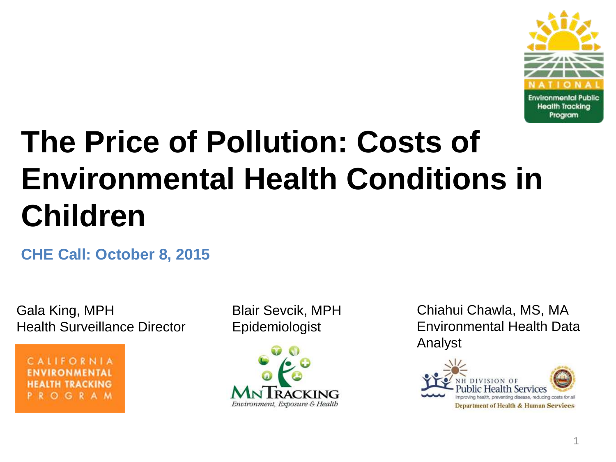

### **The Price of Pollution: Costs of Environmental Health Conditions in Children**

**CHE Call: October 8, 2015**

Gala King, MPH Health Surveillance Director

CALIFORNIA **IRONMENTAL** ALTH TRACKING OGRAM Blair Sevcik, MPH Epidemiologist



Chiahui Chawla, MS, MA Environmental Health Data Analyst

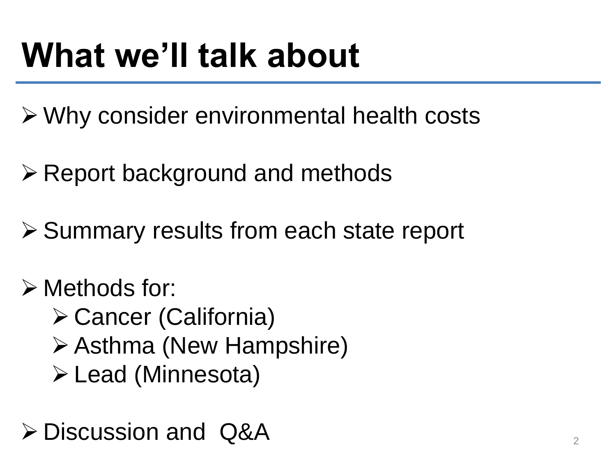## **What we'll talk about**

Why consider environmental health costs

 $\triangleright$  Report background and methods

**≻ Summary results from each state report** 

Methods for:

 Cancer (California) Asthma (New Hampshire) Lead (Minnesota)

 $\triangleright$  Discussion and Q&A 2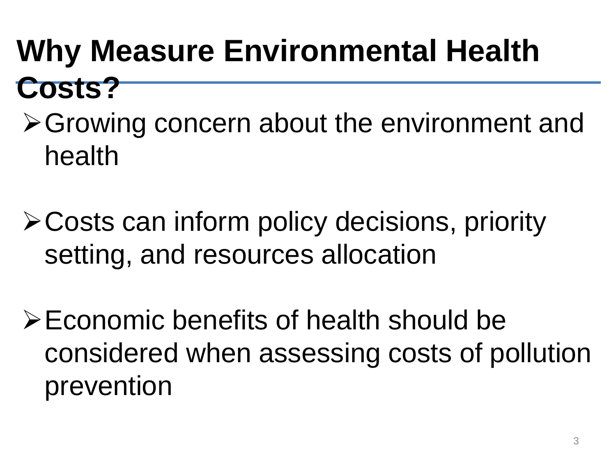### **Why Measure Environmental Health Costs?**

- **≻Growing concern about the environment and** health
- Costs can inform policy decisions, priority setting, and resources allocation
- Economic benefits of health should be considered when assessing costs of pollution prevention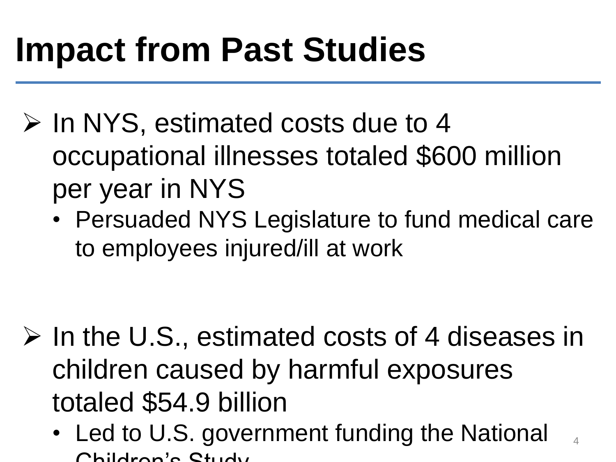## **Impact from Past Studies**

- $\triangleright$  In NYS, estimated costs due to 4 occupational illnesses totaled \$600 million per year in NYS
	- Persuaded NYS Legislature to fund medical care to employees injured/ill at work

- $\triangleright$  In the U.S., estimated costs of 4 diseases in children caused by harmful exposures totaled \$54.9 billion
	- Led to U.S. government funding the National Childron's Ctudy 4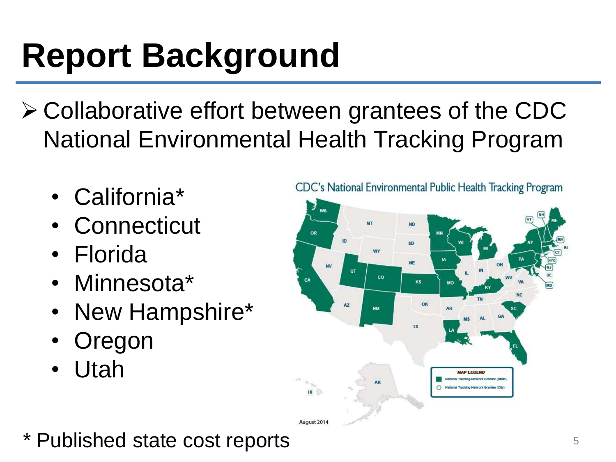# **Report Background**

- $\triangleright$  Collaborative effort between grantees of the CDC National Environmental Health Tracking Program
	- California\*
	- Connecticut
	- Florida
	- Minnesota\*
	- New Hampshire\*
	- **Oregon**
	- Utah



 $*$  Published state cost reports  $5$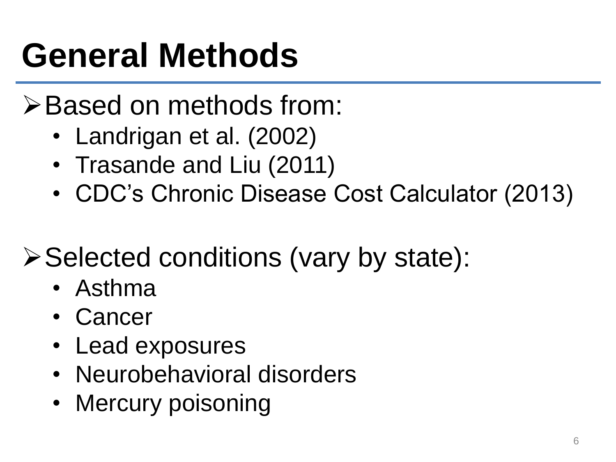# **General Methods**

### **≻Based on methods from:**

- Landrigan et al. (2002)
- Trasande and Liu (2011)
- CDC's Chronic Disease Cost Calculator (2013)

### $\triangleright$  Selected conditions (vary by state):

- Asthma
- Cancer
- Lead exposures
- Neurobehavioral disorders
- Mercury poisoning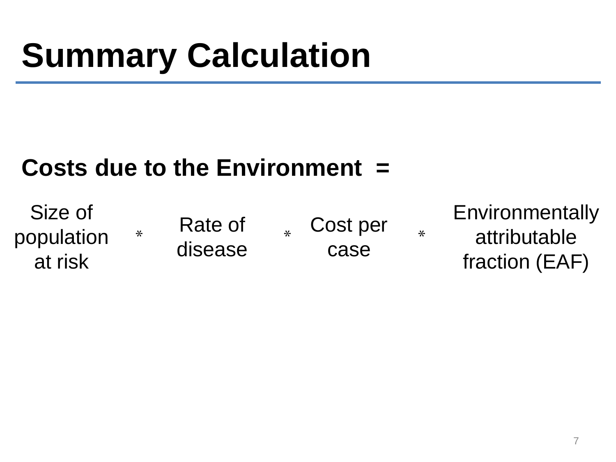#### **Costs due to the Environment =**

Size of population at risk \*

Rate of disease

Cost per case  $*$   $\bullet$   $\bullet$   $\bullet$   $\bullet$   $\bullet$  **Environmentally** attributable fraction (EAF)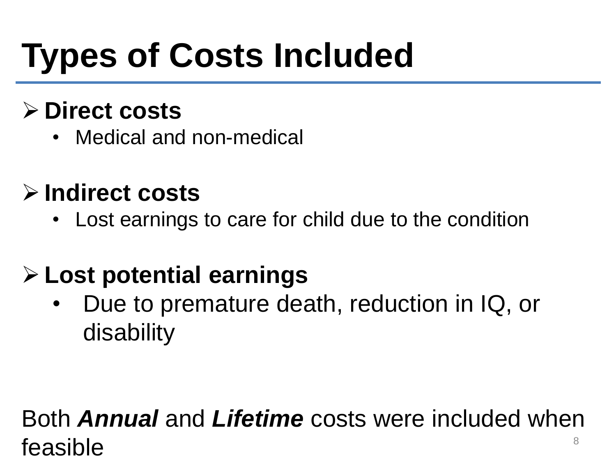# **Types of Costs Included**

#### **Direct costs**

Medical and non-medical

#### **Indirect costs**

• Lost earnings to care for child due to the condition

### **Lost potential earnings**

• Due to premature death, reduction in IQ, or disability

#### Both *Annual* and *Lifetime* costs were included when  $f$ easible  $\overline{\phantom{a}}^{\phantom{a}}$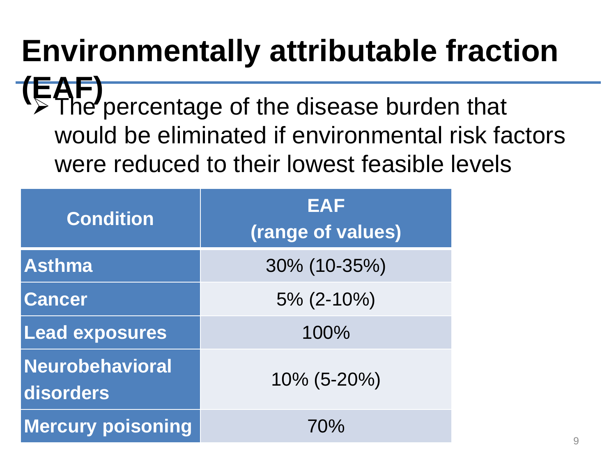### **Environmentally attributable fraction**

The percentage of the disease burden that would be eliminated if environmental risk factors were reduced to their lowest feasible levels

| <b>Condition</b>             | <b>EAF</b><br>(range of values) |
|------------------------------|---------------------------------|
| <b>Asthma</b>                | 30% (10-35%)                    |
| <b>Cancer</b>                | $5\%$ (2-10%)                   |
| Lead exposures               | 100%                            |
| Neurobehavioral<br>disorders | 10% (5-20%)                     |
| <b>Mercury poisoning</b>     | 70%                             |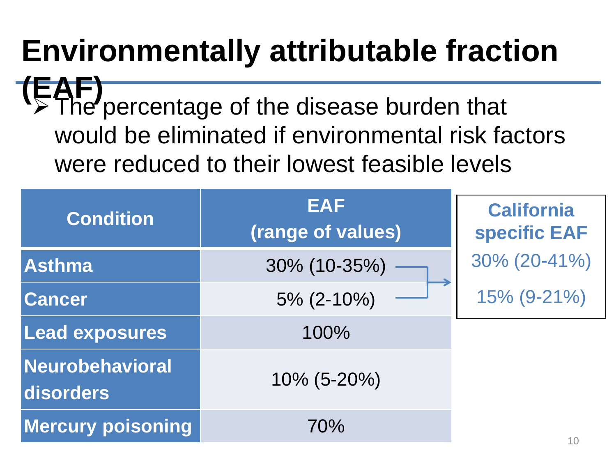### **Environmentally attributable fraction**

 $\triangleright$  The percentage of the disease burden that would be eliminated if environmental risk factors were reduced to their lowest feasible levels **(EAF)**

| <b>EAF</b><br><b>Condition</b><br>(range of values) |                | <b>California</b><br><b>specific EAF</b> |
|-----------------------------------------------------|----------------|------------------------------------------|
| <b>Asthma</b>                                       | 30% (10-35%)   | 30% (20-41%)                             |
| <b>Cancer</b>                                       | $5\%$ (2-10%)  | 15% (9-21%)                              |
| <b>Lead exposures</b>                               | 100%           |                                          |
| Neurobehavioral<br>disorders                        | $10\%$ (5-20%) |                                          |
| <b>Mercury poisoning</b>                            | 70%            | 10                                       |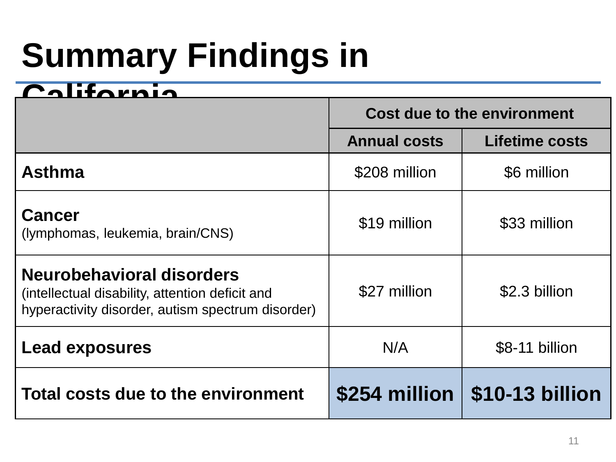# **Summary Findings in**

#### $$

|                                                                                                                                   | Cost due to the environment |                                  |
|-----------------------------------------------------------------------------------------------------------------------------------|-----------------------------|----------------------------------|
|                                                                                                                                   | <b>Annual costs</b>         | <b>Lifetime costs</b>            |
| <b>Asthma</b>                                                                                                                     | \$208 million               | \$6 million                      |
| <b>Cancer</b><br>(lymphomas, leukemia, brain/CNS)                                                                                 | \$19 million                | \$33 million                     |
| Neurobehavioral disorders<br>(intellectual disability, attention deficit and<br>hyperactivity disorder, autism spectrum disorder) | \$27 million                | \$2.3 billion                    |
| <b>Lead exposures</b>                                                                                                             | N/A                         | \$8-11 billion                   |
| Total costs due to the environment                                                                                                |                             | $$254$ million $ $10-13$ billion |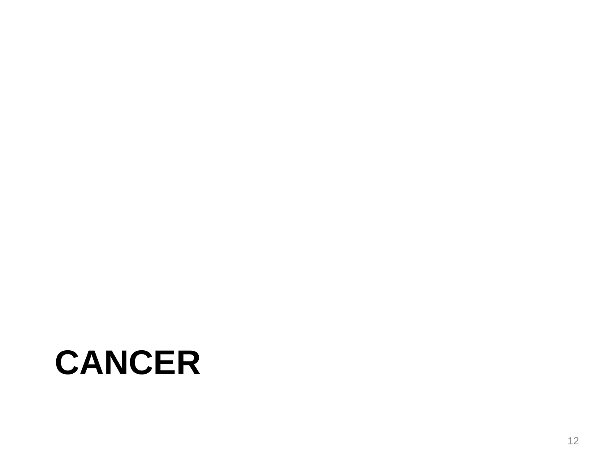### **CANCER**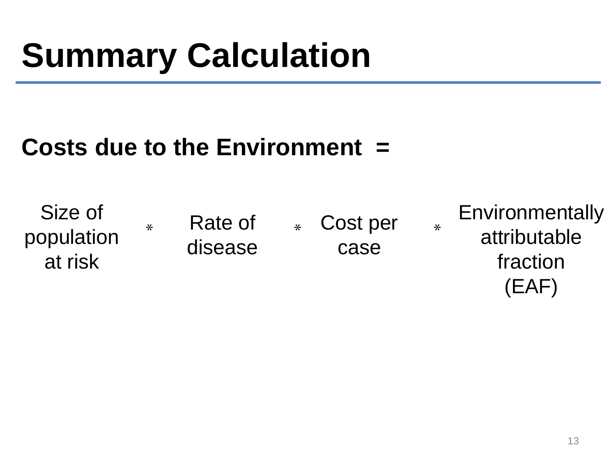#### **Costs due to the Environment =**

Size of population at risk  $\ast$  Rate of disease \* Cost per \* case **Environmentally** attributable fraction (EAF)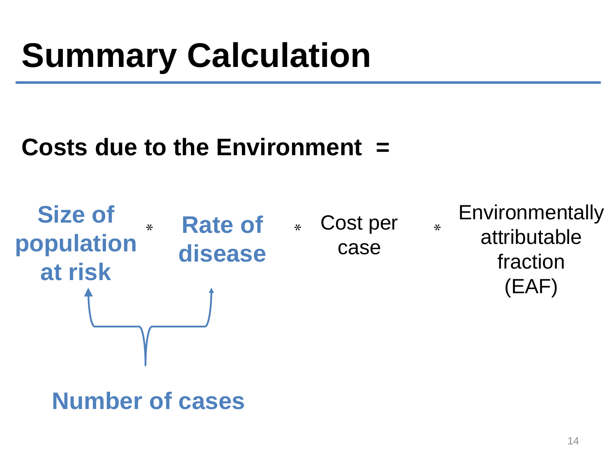#### **Costs due to the Environment =**



#### **Number of cases**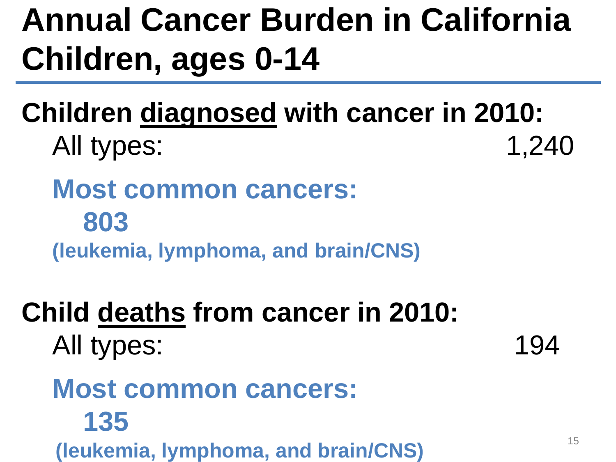### **Annual Cancer Burden in California Children, ages 0-14**

**Children diagnosed with cancer in 2010:** All types: 1,240

**Most common cancers: 803 (leukemia, lymphoma, and brain/CNS)**

### **Child deaths from cancer in 2010:**

All types: 194

#### **Most common cancers: 135 (leukemia, lymphoma, and brain/CNS)**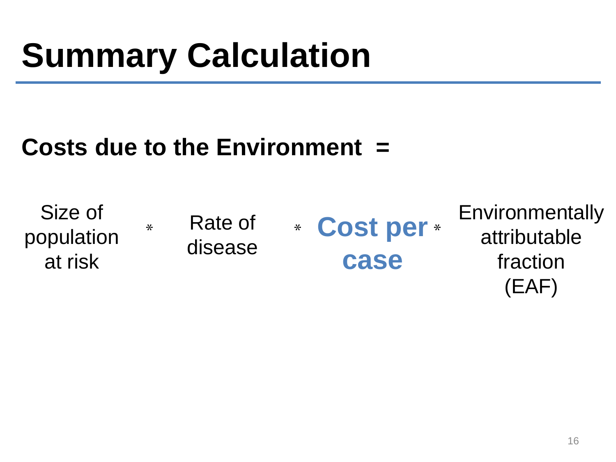#### **Costs due to the Environment =**

Size of population at risk \* Rate of disease **Environmentally** attributable fraction (EAF) \* Cost per \* **case**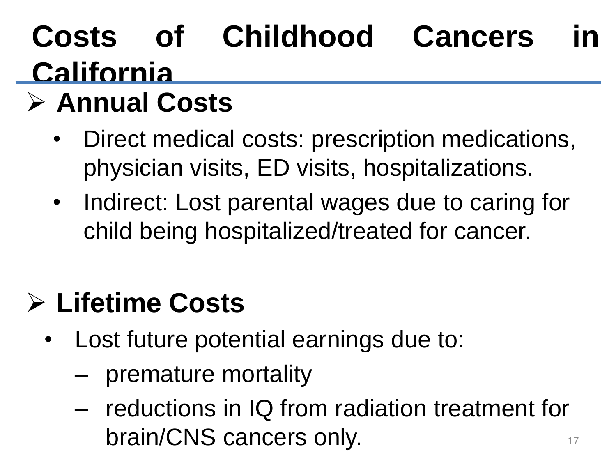## **Costs of Childhood Cancers in California**

### **Annual Costs**

- Direct medical costs: prescription medications, physician visits, ED visits, hospitalizations.
- Indirect: Lost parental wages due to caring for child being hospitalized/treated for cancer.

### **Lifetime Costs**

- Lost future potential earnings due to:
	- premature mortality
	- reductions in IQ from radiation treatment for brain/CNS cancers only.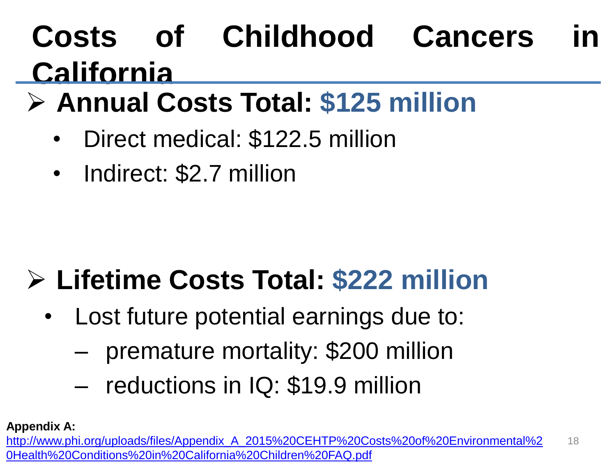### **Costs of Childhood Cancers in California**

### **Annual Costs Total: \$125 million**

- Direct medical: \$122.5 million
- Indirect: \$2.7 million

### **Lifetime Costs Total: \$222 million**

- Lost future potential earnings due to:
	- premature mortality: \$200 million
	- reductions in IQ: \$19.9 million

**Appendix A:**

18 [http://www.phi.org/uploads/files/Appendix\\_A\\_2015%20CEHTP%20Costs%20of%20Environmental%2](http://www.phi.org/uploads/files/Appendix_A_2015 CEHTP Costs of Environmental Health Conditions in California Children FAQ.pdf) 0Health%20Conditions%20in%20California%20Children%20FAQ.pdf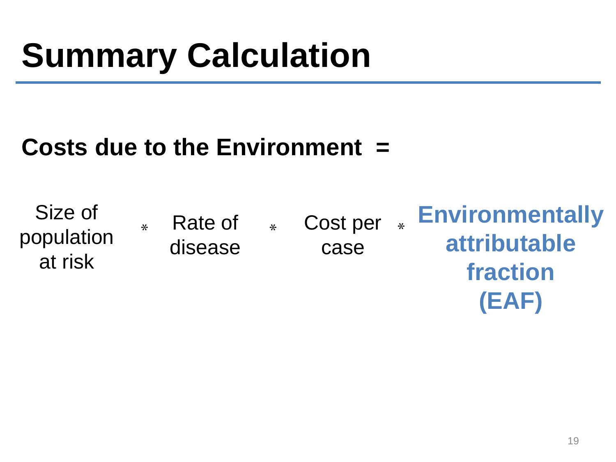#### **Costs due to the Environment =**

Size of population at risk \* Rate of \* disease **Environmentally attributable fraction**  \* Cost per \* case

**(EAF)**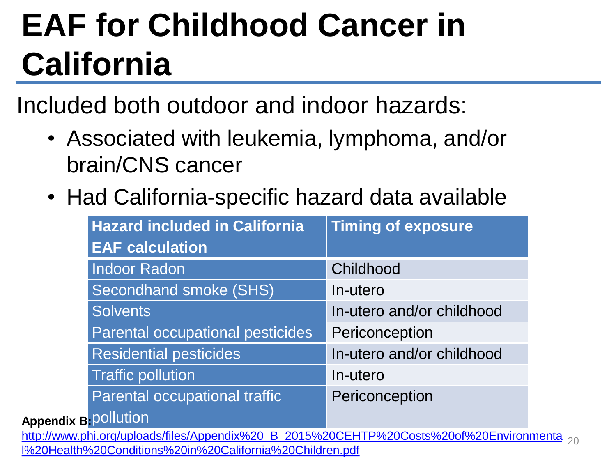## **EAF for Childhood Cancer in California**

Included both outdoor and indoor hazards:

- Associated with leukemia, lymphoma, and/or brain/CNS cancer
- Had California-specific hazard data available

|                             | <b>Hazard included in California</b>                                                    | <b>Timing of exposure</b> |  |
|-----------------------------|-----------------------------------------------------------------------------------------|---------------------------|--|
|                             | <b>EAF calculation</b>                                                                  |                           |  |
|                             | <b>Indoor Radon</b>                                                                     | Childhood                 |  |
|                             | Secondhand smoke (SHS)                                                                  | In-utero                  |  |
|                             | <b>Solvents</b>                                                                         | In-utero and/or childhood |  |
|                             | Parental occupational pesticides                                                        | Periconception            |  |
|                             | <b>Residential pesticides</b>                                                           | In-utero and/or childhood |  |
|                             | <b>Traffic pollution</b>                                                                | In-utero                  |  |
|                             | Parental occupational traffic                                                           | Periconception            |  |
| <b>Appendix B-Pollution</b> |                                                                                         |                           |  |
|                             | http://www.phi.org/uploads/files/Appendix%20_B_2015%20CEHTP%20Costs%20of%20Environmenta |                           |  |
|                             | I%20Health%20Conditions%20in%20California%20Children.pdf                                |                           |  |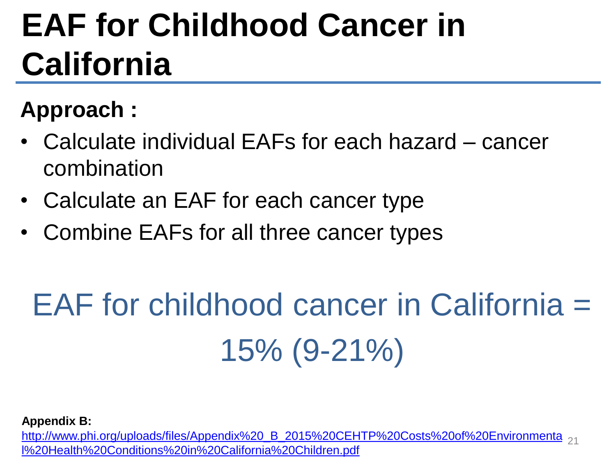### **EAF for Childhood Cancer in California**

#### **Approach :**

- Calculate individual EAFs for each hazard cancer combination
- Calculate an EAF for each cancer type
- Combine EAFs for all three cancer types

# EAF for childhood cancer in California = 15% (9-21%)

**Appendix B:** 

[http://www.phi.org/uploads/files/Appendix%20\\_B\\_2015%20CEHTP%20Costs%20of%20Environmenta](http://www.phi.org/uploads/files/Appendix _B_2015 CEHTP Costs of Environmental Health Conditions in California Children.pdf) l%20Health%20Conditions%20in%20California%20Children.pdf 21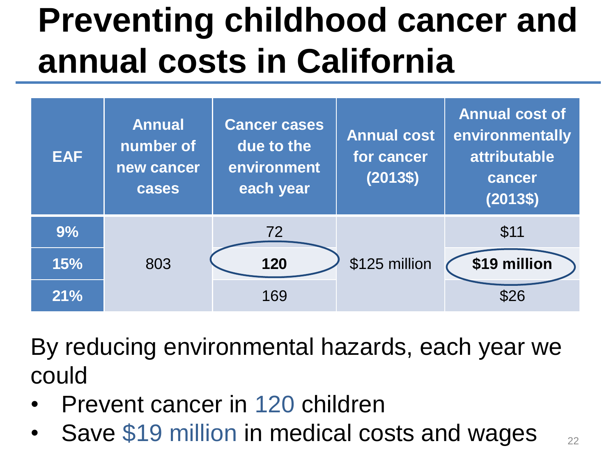## **Preventing childhood cancer and annual costs in California**



By reducing environmental hazards, each year we could

- Prevent cancer in 120 children
- Save \$19 million in medical costs and wages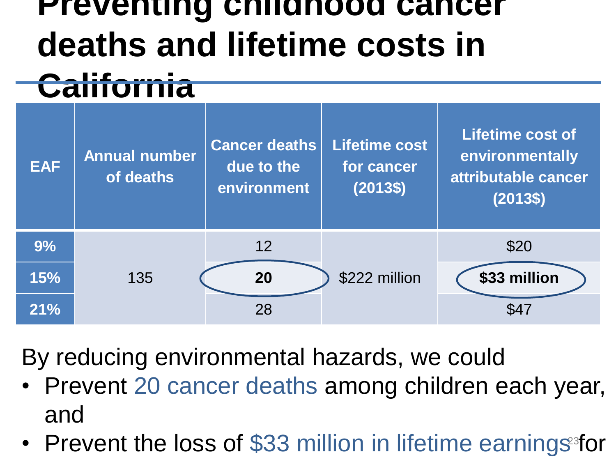### **Preventing childhood cancer deaths and lifetime costs in California**

|            | .                                 |                                                   |                                                |                                                                               |
|------------|-----------------------------------|---------------------------------------------------|------------------------------------------------|-------------------------------------------------------------------------------|
| <b>EAF</b> | <b>Annual number</b><br>of deaths | <b>Cancer deaths</b><br>due to the<br>environment | <b>Lifetime cost</b><br>for cancer<br>$(2013\$ | <b>Lifetime cost of</b><br>environmentally<br>attributable cancer<br>$(2013\$ |
| 9%         |                                   | 12                                                |                                                | \$20                                                                          |
| 15%        | 135                               | 20                                                | \$222 million                                  | \$33 million                                                                  |
| 21%        |                                   | 28                                                |                                                | \$47                                                                          |

By reducing environmental hazards, we could

- Prevent 20 cancer deaths among children each year, and
- Prevent the loss of \$33 million in lifetime earnings<sup>3</sup> for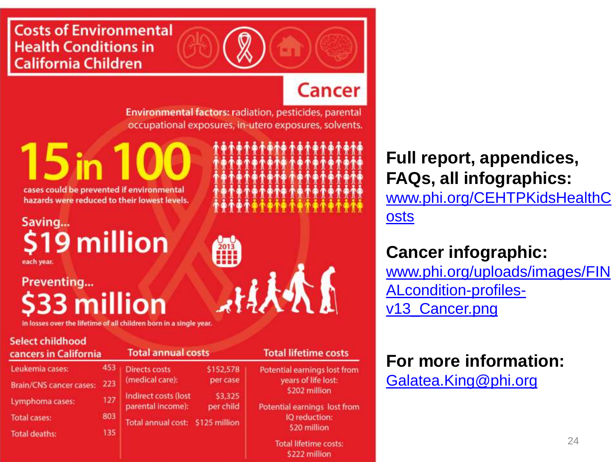#### **Costs of Environmental Health Conditions in California Children**

#### **Cancer**

Environmental factors: radiation, pesticides, parental occupational exposures, in-utero exposures, solvents.

cases could be prevented if environmental hazards were reduced to their lowest levels.

#### Saving... \$19 million each year.

#### Preventing... **33 million**

in losses over the lifetime of all children born in a single year.

#### **Select childhood** cancers in California

| Leukemia cases:                | 453 |
|--------------------------------|-----|
| <b>Brain/CNS cancer cases:</b> | 223 |
| Lymphoma cases:                | 127 |
| Total cases:                   | 803 |
| <b>Total deaths:</b>           | 135 |
|                                |     |

#### **Total annual costs Directs costs** \$152,578 (medical care): per case Indirect costs (lost \$3,325 parental income):

per child Total annual cost: \$125 million

小人人人

**Full report, appendices, FAQs, all infographics:**

[www.phi.org/CEHTPKidsHealthC](http://www.phi.org/CEHTPKidsHealthCosts) osts

#### **Cancer infographic:**

[www.phi.org/uploads/images/FIN](http://www.phi.org/uploads/images/FINALcondition-profiles-v13_Cancer.png) ALcondition-profilesv13\_Cancer.png

**For more information:** [Galatea.King@phi.org](mailto:Galatea.King@phi.org)

#### **Total lifetime costs**

Potential earnings lost from years of life lost: \$202 million

Potential earnings lost from IO reduction: \$20 million

> **Total lifetime costs:** \$222 million